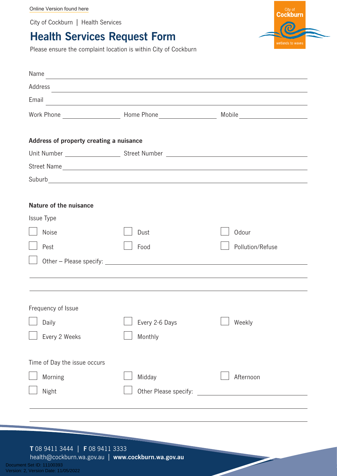[Online Version found here](https://www.cockburn.wa.gov.au/Health-Safety-and-Rangers/Public-Health/Public-Health-Complaint-Form)

City of Cockburn | Health Services

## **Health Services Request Form**

City of<br>Cockburn

Please ensure the complaint location is within City of Cockburn

| Name<br><u> 1989 - Johann Stoff, amerikansk politiker (d. 1989)</u> |                                                                                                                      |                  |  |
|---------------------------------------------------------------------|----------------------------------------------------------------------------------------------------------------------|------------------|--|
|                                                                     |                                                                                                                      |                  |  |
| Email                                                               | <u> 1989 - Andrea Santa Alemania, amerikana amerikana amerikana amerikana amerikana amerikana amerikana amerikan</u> |                  |  |
|                                                                     |                                                                                                                      |                  |  |
|                                                                     |                                                                                                                      |                  |  |
| Address of property creating a nuisance                             |                                                                                                                      |                  |  |
|                                                                     |                                                                                                                      |                  |  |
|                                                                     |                                                                                                                      |                  |  |
|                                                                     |                                                                                                                      |                  |  |
|                                                                     |                                                                                                                      |                  |  |
| Nature of the nuisance                                              |                                                                                                                      |                  |  |
| Issue Type                                                          |                                                                                                                      |                  |  |
| <b>Noise</b>                                                        | Dust                                                                                                                 | Odour            |  |
| Pest                                                                | Food                                                                                                                 | Pollution/Refuse |  |
|                                                                     |                                                                                                                      |                  |  |
|                                                                     |                                                                                                                      |                  |  |
|                                                                     |                                                                                                                      |                  |  |
| Frequency of Issue                                                  |                                                                                                                      |                  |  |
| $\Box$ Daily                                                        | Every 2-6 Days                                                                                                       | Weekly           |  |
| Every 2 Weeks                                                       | Monthly                                                                                                              |                  |  |
|                                                                     |                                                                                                                      |                  |  |
| Time of Day the issue occurs                                        |                                                                                                                      |                  |  |
| Morning                                                             | Midday                                                                                                               | Afternoon        |  |
| Night                                                               | Other Please specify:                                                                                                |                  |  |
|                                                                     |                                                                                                                      |                  |  |
|                                                                     |                                                                                                                      |                  |  |
|                                                                     |                                                                                                                      |                  |  |

## **T** 08 9411 3444 | **F** 08 9411 3333

health@cockburn.wa.gov.au | **www.cockburn.wa.gov.au**